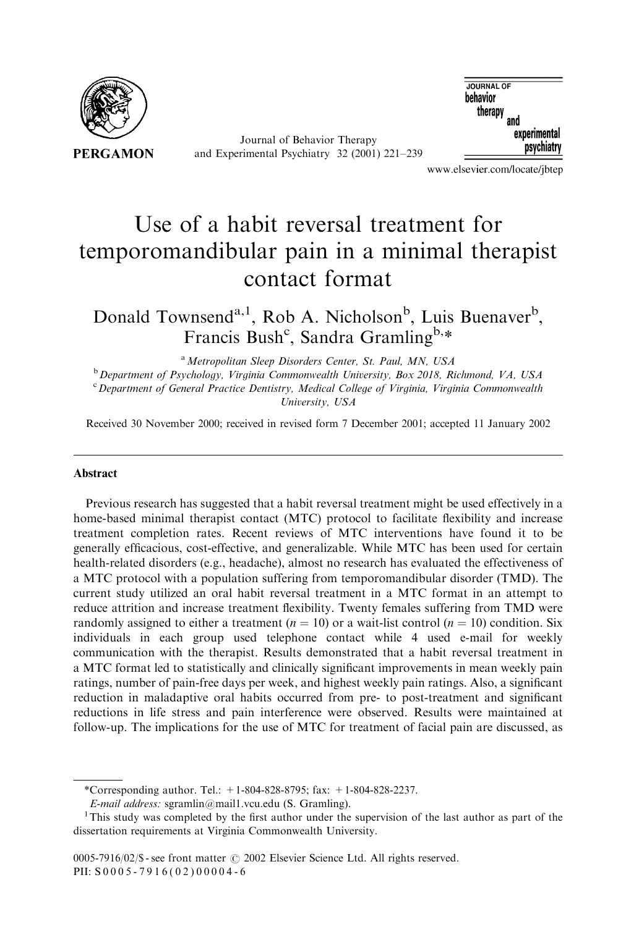

Journal of Behavior Therapy and Experimental Psychiatry 32 (2001) 221–239

**JOURNAL OF** behavior therapy<br>therapy<br>and experimental psychiatry

www.elsevier.com/locate/jbtep

## Use of a habit reversal treatment for temporomandibular pain in a minimal therapist contact format

Donald Townsend<sup>a,1</sup>, Rob A. Nicholson<sup>b</sup>, Luis Buenaver<sup>b</sup>, Francis Bush<sup>c</sup>, Sandra Gramling<sup>b,\*</sup>

<sup>a</sup> Metropolitan Sleep Disorders Center, St. Paul, MN, USA

 $b$  Department of Psychology, Virginia Commonwealth University, Box 2018, Richmond, VA, USA <sup>c</sup> Department of General Practice Dentistry, Medical College of Virginia, Virginia Commonwealth University, USA

Received 30 November 2000; received in revised form 7 December 2001; accepted 11 January 2002

## Abstract

Previous research has suggested that a habit reversal treatment might be used effectively in a home-based minimal therapist contact (MTC) protocol to facilitate flexibility and increase treatment completion rates. Recent reviews of MTC interventions have found it to be generally efficacious, cost-effective, and generalizable. While MTC has been used for certain health-related disorders (e.g., headache), almost no research has evaluated the effectiveness of a MTC protocol with a population suffering from temporomandibular disorder (TMD). The current study utilized an oral habit reversal treatment in a MTC format in an attempt to reduce attrition and increase treatment flexibility. Twenty females suffering from TMD were randomly assigned to either a treatment ( $n = 10$ ) or a wait-list control ( $n = 10$ ) condition. Six individuals in each group used telephone contact while 4 used e-mail for weekly communication with the therapist. Results demonstrated that a habit reversal treatment in a MTC format led to statistically and clinically significant improvements in mean weekly pain ratings, number of pain-free days per week, and highest weekly pain ratings. Also, a significant reduction in maladaptive oral habits occurred from pre- to post-treatment and significant reductions in life stress and pain interference were observed. Results were maintained at follow-up. The implications for the use of MTC for treatment of facial pain are discussed, as

\*Corresponding author. Tel.:  $+1-804-828-8795$ ; fax:  $+1-804-828-2237$ .

E-mail address: sgramlin@mail1.vcu.edu (S. Gramling). <sup>1</sup>

<sup>&</sup>lt;sup>1</sup>This study was completed by the first author under the supervision of the last author as part of the dissertation requirements at Virginia Commonwealth University.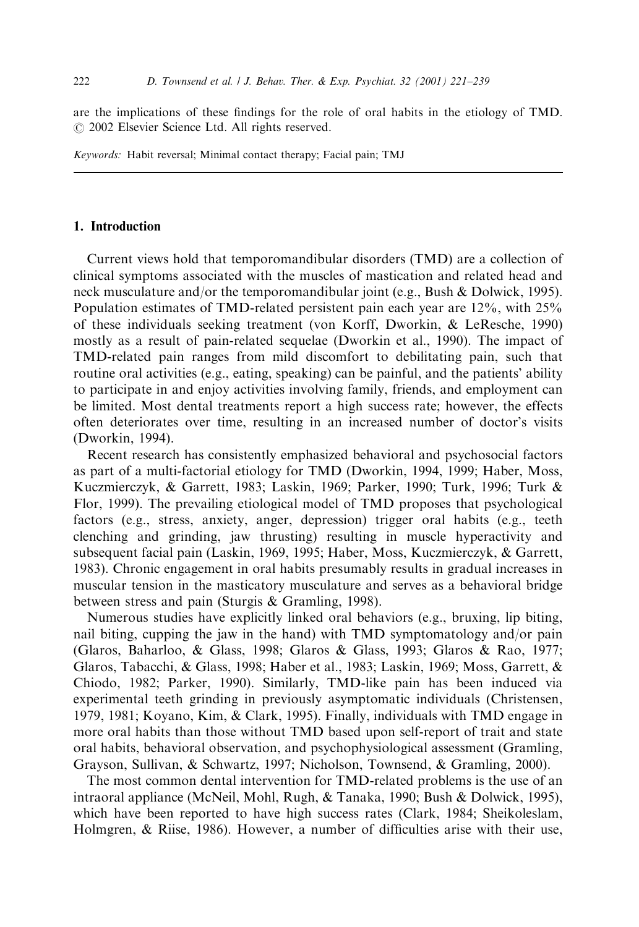are the implications of these findings for the role of oral habits in the etiology of TMD.  $\odot$  2002 Elsevier Science Ltd. All rights reserved.

Keywords: Habit reversal; Minimal contact therapy; Facial pain; TMJ

## 1. Introduction

Current views hold that temporomandibular disorders (TMD) are a collection of clinical symptoms associated with the muscles of mastication and related head and neck musculature and/or the temporomandibular joint (e.g., Bush & Dolwick, 1995). Population estimates of TMD-related persistent pain each year are 12%, with 25% of these individuals seeking treatment (von Korff, Dworkin, & LeResche, 1990) mostly as a result of pain-related sequelae (Dworkin et al., 1990). The impact of TMD-related pain ranges from mild discomfort to debilitating pain, such that routine oral activities (e.g., eating, speaking) can be painful, and the patients' ability to participate in and enjoy activities involving family, friends, and employment can be limited. Most dental treatments report a high success rate; however, the effects often deteriorates over time, resulting in an increased number of doctor's visits (Dworkin, 1994).

Recent research has consistently emphasized behavioral and psychosocial factors as part of a multi-factorial etiology for TMD (Dworkin, 1994, 1999; Haber, Moss, Kuczmierczyk, & Garrett, 1983; Laskin, 1969; Parker, 1990; Turk, 1996; Turk & Flor, 1999). The prevailing etiological model of TMD proposes that psychological factors (e.g., stress, anxiety, anger, depression) trigger oral habits (e.g., teeth clenching and grinding, jaw thrusting) resulting in muscle hyperactivity and subsequent facial pain (Laskin, 1969, 1995; Haber, Moss, Kuczmierczyk, & Garrett, 1983). Chronic engagement in oral habits presumably results in gradual increases in muscular tension in the masticatory musculature and serves as a behavioral bridge between stress and pain (Sturgis & Gramling, 1998).

Numerous studies have explicitly linked oral behaviors (e.g., bruxing, lip biting, nail biting, cupping the jaw in the hand) with TMD symptomatology and/or pain (Glaros, Baharloo, & Glass, 1998; Glaros & Glass, 1993; Glaros & Rao, 1977; Glaros, Tabacchi, & Glass, 1998; Haber et al., 1983; Laskin, 1969; Moss, Garrett, & Chiodo, 1982; Parker, 1990). Similarly, TMD-like pain has been induced via experimental teeth grinding in previously asymptomatic individuals (Christensen, 1979, 1981; Koyano, Kim, & Clark, 1995). Finally, individuals with TMD engage in more oral habits than those without TMD based upon self-report of trait and state oral habits, behavioral observation, and psychophysiological assessment (Gramling, Grayson, Sullivan, & Schwartz, 1997; Nicholson, Townsend, & Gramling, 2000).

The most common dental intervention for TMD-related problems is the use of an intraoral appliance (McNeil, Mohl, Rugh, & Tanaka, 1990; Bush & Dolwick, 1995), which have been reported to have high success rates (Clark, 1984; Sheikoleslam, Holmgren, & Riise, 1986). However, a number of difficulties arise with their use,